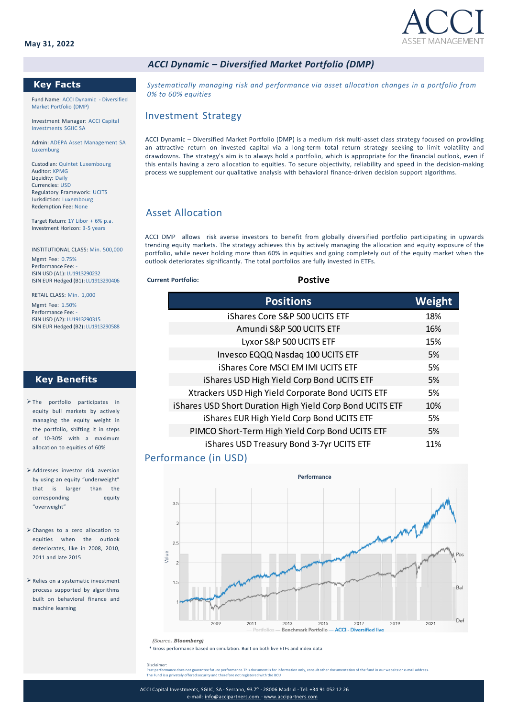### **May 31, 2022**



### *ACCI Dynamic – Diversified Market Portfolio (DMP)*

### **Key Facts**

Fund Name: ACCI Dynamic - Diversified Market Portfolio (DMP)

Investment Manager: ACCI Capital Investments SGIIC SA

Admin: ADEPA Asset Management SA Luxemburg

Custodian: Quintet Luxembourg Auditor: KPMG Liquidity: Daily Currencies: USD Regulatory Framework: UCITS Jurisdiction: Luxembourg Redemption Fee: None

Target Return: 1Y Libor + 6% p.a. Investment Horizon: 3-5 years

INSTITUTIONAL CLASS: Min. 500,000

Mgmt Fee: 0.75% Performance Fee: -ISIN USD (A1): LU1913290232 ISIN EUR Hedged (B1): LU1913290406

RETAIL CLASS: Min. 1,000 Mgmt Fee: 1.50% Performance Fee: - ISIN USD (A2): LU1913290315 ISIN EUR Hedged (B2): LU1913290588

### **Key Benefits**

- ➢ The portfolio participates in equity bull markets by actively managing the equity weight in the portfolio, shifting it in steps of 10-30% with a maximum allocation to equities of 60%
- ➢ Addresses investor risk aversion by using an equity "underweight" that is larger than the corresponding equity "overweight"
- ➢ Changes to a zero allocation to equities when the outlook deteriorates, like in 2008, 2010, 2011 and late 2015
- ➢ Relies on a systematic investment process supported by algorithms built on behavioral finance and machine learning

*Systematically managing risk and performance via asset allocation changes in a portfolio from 0% to 60% equities*

## Investment Strategy

ACCI Dynamic – Diversified Market Portfolio (DMP) is a medium risk multi-asset class strategy focused on providing an attractive return on invested capital via a long-term total return strategy seeking to limit volatility and drawdowns. The strategy's aim is to always hold a portfolio, which is appropriate for the financial outlook, even if this entails having a zero allocation to equities. To secure objectivity, reliability and speed in the decision-making process we supplement our qualitative analysis with behavioral finance-driven decision support algorithms.

# Asset Allocation

ACCI DMP allows risk averse investors to benefit from globally diversified portfolio participating in upwards trending equity markets. The strategy achieves this by actively managing the allocation and equity exposure of the portfolio, while never holding more than 60% in equities and going completely out of the equity market when the outlook deteriorates significantly. The total portfolios are fully invested in ETFs.

#### **Current Portfolio:**

#### **Postive**

| <b>Positions</b>                                          | Weight |
|-----------------------------------------------------------|--------|
| iShares Core S&P 500 UCITS ETF                            | 18%    |
| Amundi S&P 500 UCITS ETF                                  | 16%    |
| Lyxor S&P 500 UCITS ETF                                   | 15%    |
| Invesco EQQQ Nasdaq 100 UCITS ETF                         | 5%     |
| iShares Core MSCI EM IMI UCITS ETF                        | .5%    |
| iShares USD High Yield Corp Bond UCITS ETF                | 5%     |
| Xtrackers USD High Yield Corporate Bond UCITS ETF         | .5%    |
| iShares USD Short Duration High Yield Corp Bond UCITS ETF | 10%    |
| iShares EUR High Yield Corp Bond UCITS ETF                | 5%     |
| PIMCO Short-Term High Yield Corp Bond UCITS ETF           | 5%     |
| iShares USD Treasury Bond 3-7yr UCITS ETF                 | 11%    |

### Performance (in USD)



*(Source. Bloomberg)*

\* Gross performance based on simulation. Built on both live ETFs and index data

Disclaimer:

Past performance does not guarantee future performance.This document is for information only, consult other documentation of the fund in our website or e-mail address.<br>The Fund is a privately offered security and therefore